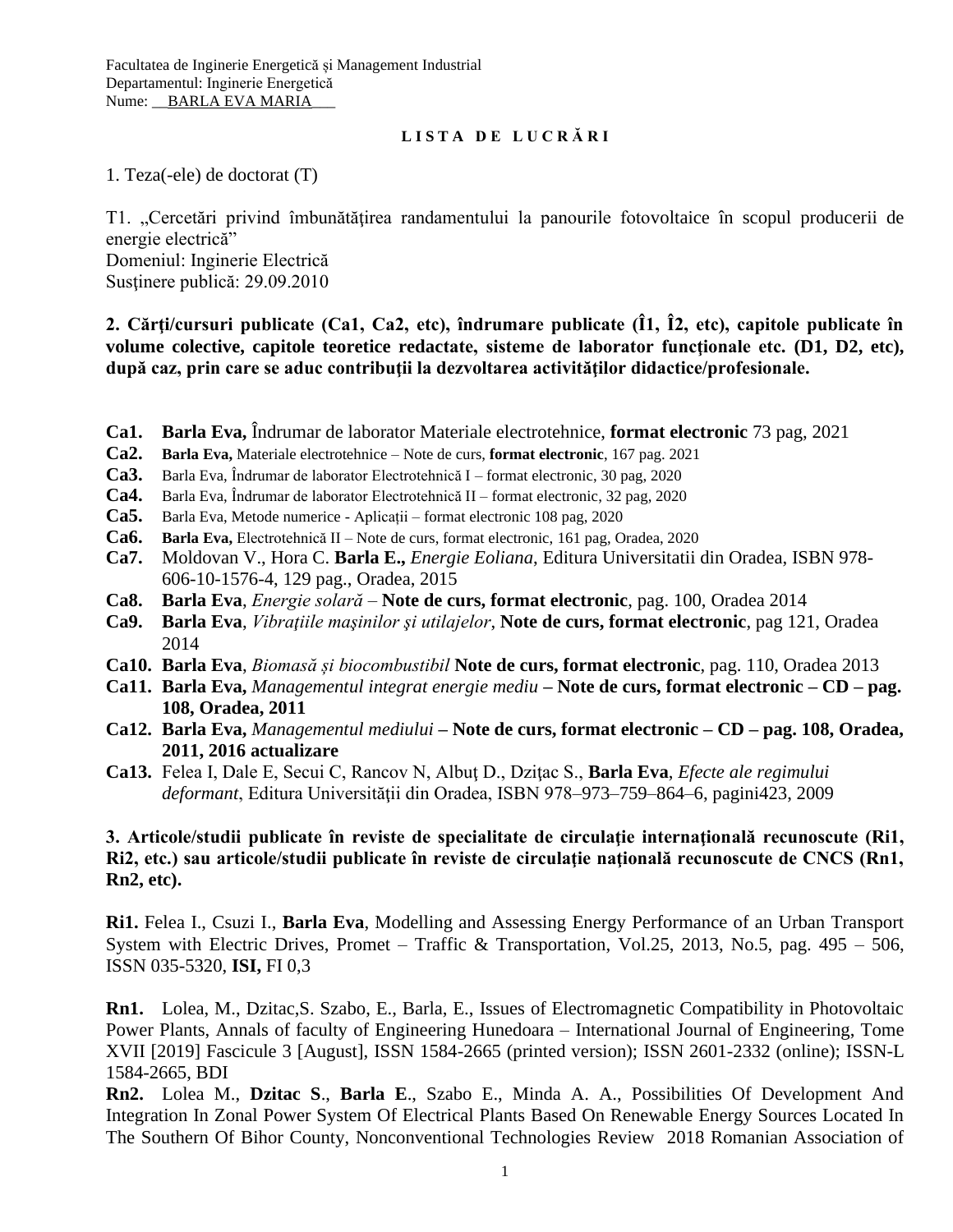### **L I S T A D E L U C R Ă R I**

1. Teza(-ele) de doctorat (T)

T1. "Cercetări privind îmbunătăţirea randamentului la panourile fotovoltaice în scopul producerii de energie electrică" Domeniul: Inginerie Electrică Susținere publică: 29.09.2010

**2. Cărţi/cursuri publicate (Ca1, Ca2, etc), îndrumare publicate (Î1, Î2, etc), capitole publicate în**  volume colective, capitole teoretice redactate, sisteme de laborator funcționale etc. (D1, D2, etc), **după caz, prin care se aduc contribuţii la dezvoltarea activităţilor didactice/profesionale.**

- **Ca1. Barla Eva,** Îndrumar de laborator Materiale electrotehnice, **format electronic** 73 pag, 2021
- **Ca2. Barla Eva,** Materiale electrotehnice Note de curs, **format electronic**, 167 pag. 2021
- **Ca3.** Barla Eva, Îndrumar de laborator Electrotehnică I format electronic, 30 pag, 2020
- **Ca4.** Barla Eva, Îndrumar de laborator Electrotehnică II format electronic, 32 pag, 2020
- **Ca5.** Barla Eva, Metode numerice Aplicații format electronic 108 pag, 2020
- **Ca6. Barla Eva,** Electrotehnică II Note de curs, format electronic, 161 pag, Oradea, 2020
- **Ca7.** Moldovan V., Hora C. **Barla E.,** *Energie Eoliana*, Editura Universitatii din Oradea, ISBN 978- 606-10-1576-4, 129 pag., Oradea, 2015
- **Ca8. Barla Eva**, *Energie solară*  **Note de curs, format electronic**, pag. 100, Oradea 2014
- **Ca9. Barla Eva**, *Vibraţiile maşinilor şi utilajelor*, **Note de curs, format electronic**, pag 121, Oradea 2014
- **Ca10. Barla Eva**, *Biomasă și biocombustibil* **Note de curs, format electronic**, pag. 110, Oradea 2013
- **Ca11. Barla Eva,** *Managementul integrat energie mediu* **– Note de curs, format electronic – CD – pag. 108, Oradea, 2011**
- **Ca12. Barla Eva,** *Managementul mediului* **– Note de curs, format electronic – CD – pag. 108, Oradea, 2011, 2016 actualizare**
- **Ca13.** Felea I, Dale E, Secui C, Rancov N, Albuţ D., Dziţac S., **Barla Eva**, *Efecte ale regimului deformant*, Editura Universităţii din Oradea, ISBN 978–973–759–864–6, pagini423, 2009

# **3. Articole/studii publicate în reviste de specialitate de circulaţie internaţională recunoscute (Ri1, Ri2, etc.) sau articole/studii publicate în reviste de circulaţie naţională recunoscute de CNCS (Rn1, Rn2, etc).**

**Ri1.** Felea I., Csuzi I., **Barla Eva**, Modelling and Assessing Energy Performance of an Urban Transport System with Electric Drives, Promet – Traffic & Transportation, Vol.25, 2013, No.5, pag. 495 – 506, ISSN 035-5320, **ISI,** FI 0,3

**Rn1.** Lolea, M., Dzitac,S. Szabo, E., Barla, E., Issues of Electromagnetic Compatibility in Photovoltaic Power Plants, Annals of faculty of Engineering Hunedoara – International Journal of Engineering, Tome XVII [2019] Fascicule 3 [August], ISSN 1584-2665 (printed version); ISSN 2601-2332 (online); ISSN-L 1584-2665, BDI

**Rn2.** Lolea M., **Dzitac S**., **Barla E**., Szabo E., Minda A. A., Possibilities Of Development And Integration In Zonal Power System Of Electrical Plants Based On Renewable Energy Sources Located In The Southern Of Bihor County, Nonconventional Technologies Review 2018 Romanian Association of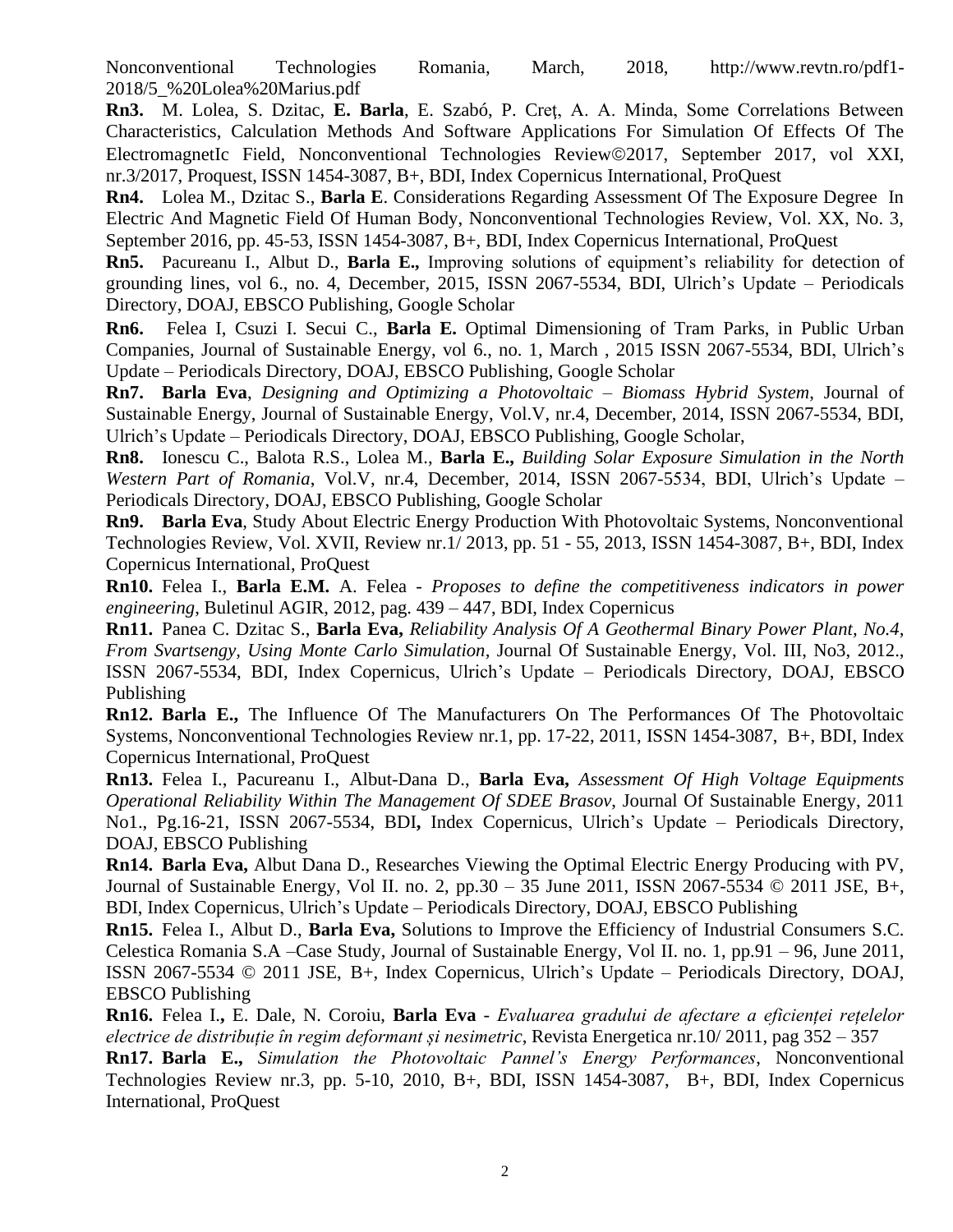Nonconventional Technologies Romania, March, 2018, http://www.revtn.ro/pdf1- 2018/5\_%20Lolea%20Marius.pdf

**Rn3.** M. Lolea, S. Dzitac, **E. Barla**, E. Szabó, P. Creţ, A. A. Minda, Some Correlations Between Characteristics, Calculation Methods And Software Applications For Simulation Of Effects Of The ElectromagnetIc Field, Nonconventional Technologies Review©2017, September 2017, vol XXI, nr.3/2017, Proquest, ISSN 1454-3087, B+, BDI, Index Copernicus International, ProQuest

**Rn4.** Lolea M., Dzitac S., **Barla E**. Considerations Regarding Assessment Of The Exposure Degree In Electric And Magnetic Field Of Human Body, Nonconventional Technologies Review, Vol. XX, No. 3, September 2016, pp. 45-53, ISSN 1454-3087, B+, BDI, Index Copernicus International, ProQuest

**Rn5.** Pacureanu I., Albut D., **Barla E.,** Improving solutions of equipment's reliability for detection of grounding lines, vol 6., no. 4, December, 2015, ISSN 2067-5534, BDI, Ulrich's Update – Periodicals Directory, DOAJ, EBSCO Publishing, Google Scholar

**Rn6.** Felea I, Csuzi I. Secui C., **Barla E.** Optimal Dimensioning of Tram Parks, in Public Urban Companies, Journal of Sustainable Energy, vol 6., no. 1, March , 2015 ISSN 2067-5534, BDI, Ulrich's Update – Periodicals Directory, DOAJ, EBSCO Publishing, Google Scholar

**Rn7. Barla Eva**, *Designing and Optimizing a Photovoltaic – Biomass Hybrid System*, Journal of Sustainable Energy, Journal of Sustainable Energy, Vol.V, nr.4, December, 2014, ISSN 2067-5534, BDI, Ulrich's Update – Periodicals Directory, DOAJ, EBSCO Publishing, Google Scholar,

**Rn8.** Ionescu C., Balota R.S., Lolea M., **Barla E.,** *Building Solar Exposure Simulation in the North Western Part of Romania*, Vol.V, nr.4, December, 2014, ISSN 2067-5534, BDI, Ulrich's Update – Periodicals Directory, DOAJ, EBSCO Publishing, Google Scholar

**Rn9. Barla Eva**, Study About Electric Energy Production With Photovoltaic Systems, Nonconventional Technologies Review, Vol. XVII, Review nr.1/ 2013, pp. 51 - 55, 2013, ISSN 1454-3087, B+, BDI, Index Copernicus International, ProQuest

**Rn10.** Felea I., **Barla E.M.** A. Felea - *Proposes to define the competitiveness indicators in power engineering*, Buletinul AGIR, 2012, pag. 439 – 447, BDI, Index Copernicus

**Rn11.** Panea C. Dzitac S., **Barla Eva,** *Reliability Analysis Of A Geothermal Binary Power Plant, No.4, From Svartsengy, Using Monte Carlo Simulation,* Journal Of Sustainable Energy, Vol. III, No3, 2012., ISSN 2067-5534, BDI, Index Copernicus, Ulrich's Update – Periodicals Directory, DOAJ, EBSCO Publishing

**Rn12. Barla E.,** The Influence Of The Manufacturers On The Performances Of The Photovoltaic Systems, Nonconventional Technologies Review nr.1, pp. 17-22, 2011, ISSN 1454-3087, B+, BDI, Index Copernicus International, ProQuest

**Rn13.** Felea I., Pacureanu I., Albut-Dana D., **Barla Eva,** *Assessment Of High Voltage Equipments Operational Reliability Within The Management Of SDEE Brasov*, Journal Of Sustainable Energy, 2011 No1., Pg.16-21, ISSN 2067-5534, BDI**,** Index Copernicus, Ulrich's Update – Periodicals Directory, DOAJ, EBSCO Publishing

**Rn14. Barla Eva,** Albut Dana D., Researches Viewing the Optimal Electric Energy Producing with PV, Journal of Sustainable Energy, Vol II. no. 2, pp.30 – 35 June 2011, ISSN 2067-5534 © 2011 JSE, B+, BDI, Index Copernicus, Ulrich's Update – Periodicals Directory, DOAJ, EBSCO Publishing

**Rn15.** Felea I., Albut D., **Barla Eva,** Solutions to Improve the Efficiency of Industrial Consumers S.C. Celestica Romania S.A –Case Study, Journal of Sustainable Energy, Vol II. no. 1, pp.91 – 96, June 2011, ISSN 2067-5534 © 2011 JSE, B+, Index Copernicus, Ulrich's Update – Periodicals Directory, DOAJ, EBSCO Publishing

**Rn16.** Felea I.**,** E. Dale, N. Coroiu, **Barla Eva** - *Evaluarea gradului de afectare a eficienței rețelelor electrice de distribuție în regim deformant și nesimetric*, Revista Energetica nr.10/ 2011, pag 352 – 357

**Rn17. Barla E.,** *Simulation the Photovoltaic Pannel's Energy Performances*, Nonconventional Technologies Review nr.3, pp. 5-10, 2010, B+, BDI, ISSN 1454-3087, B+, BDI, Index Copernicus International, ProQuest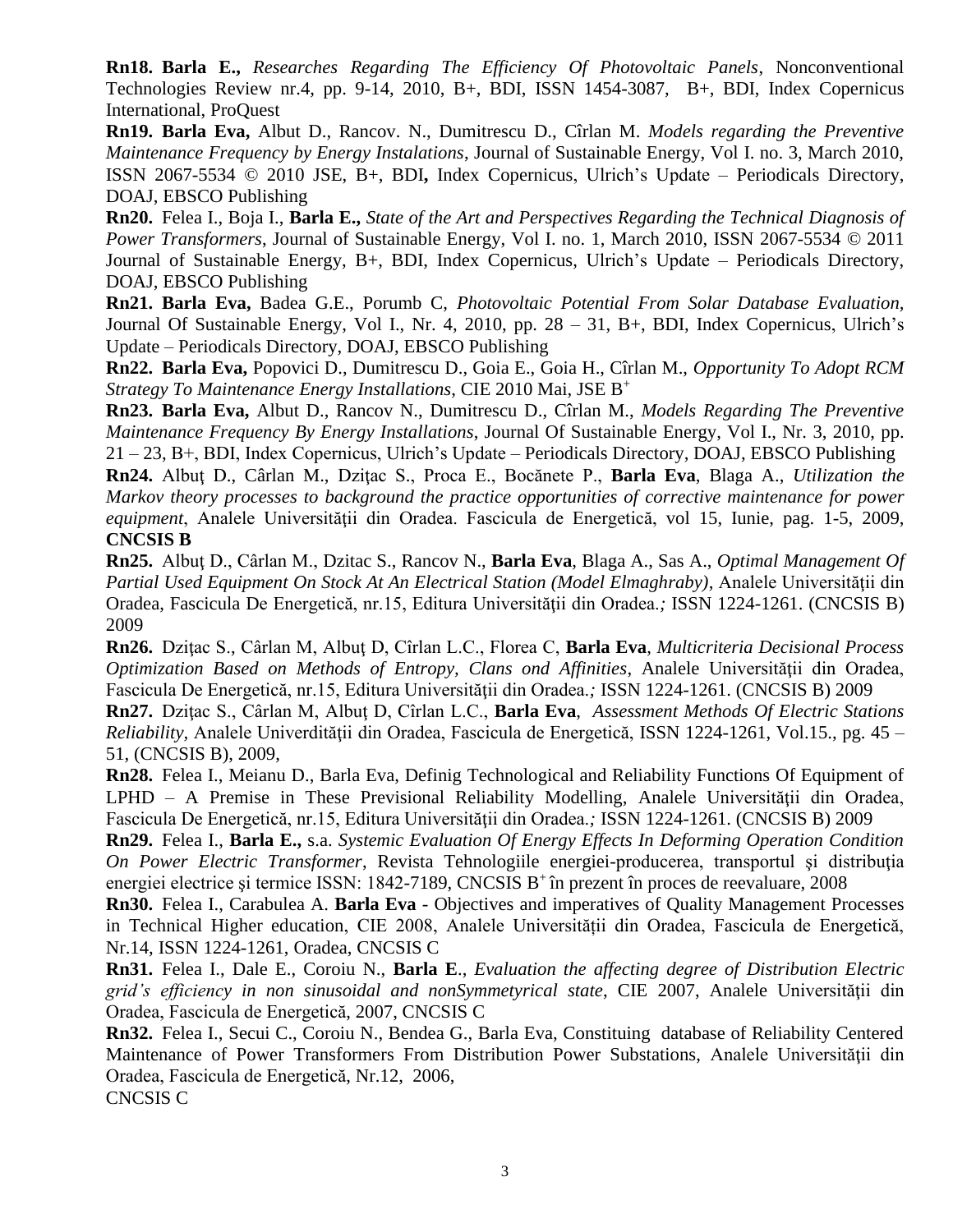**Rn18. Barla E.,** *Researches Regarding The Efficiency Of Photovoltaic Panels*, Nonconventional Technologies Review nr.4, pp. 9-14, 2010, B+, BDI, ISSN 1454-3087, B+, BDI, Index Copernicus International, ProQuest

**Rn19. Barla Eva,** Albut D., Rancov. N., Dumitrescu D., Cîrlan M. *Models regarding the Preventive Maintenance Frequency by Energy Instalations*, Journal of Sustainable Energy, Vol I. no. 3, March 2010, ISSN 2067-5534 © 2010 JSE, B+, BDI**,** Index Copernicus, Ulrich's Update – Periodicals Directory, DOAJ, EBSCO Publishing

**Rn20.** Felea I., Boja I., **Barla E.,** *State of the Art and Perspectives Regarding the Technical Diagnosis of Power Transformers*, Journal of Sustainable Energy, Vol I. no. 1, March 2010, ISSN 2067-5534 © 2011 Journal of Sustainable Energy, B+, BDI, Index Copernicus, Ulrich's Update – Periodicals Directory, DOAJ, EBSCO Publishing

**Rn21. Barla Eva,** Badea G.E., Porumb C, *Photovoltaic Potential From Solar Database Evaluation,* Journal Of Sustainable Energy, Vol I., Nr. 4, 2010, pp. 28 – 31, B+, BDI, Index Copernicus, Ulrich's Update – Periodicals Directory, DOAJ, EBSCO Publishing

**Rn22. Barla Eva,** Popovici D., Dumitrescu D., Goia E., Goia H., Cîrlan M., *Opportunity To Adopt RCM Strategy To Maintenance Energy Installations*, CIE 2010 Mai, JSE B<sup>+</sup>

**Rn23. Barla Eva,** Albut D., Rancov N., Dumitrescu D., Cîrlan M., *Models Regarding The Preventive Maintenance Frequency By Energy Installations*, Journal Of Sustainable Energy, Vol I., Nr. 3, 2010, pp. 21 – 23, B+, BDI, Index Copernicus, Ulrich's Update – Periodicals Directory, DOAJ, EBSCO Publishing

**Rn24.** Albuţ D., Cârlan M., Dziţac S., Proca E., Bocănete P., **Barla Eva**, Blaga A., *Utilization the Markov theory processes to background the practice opportunities of corrective maintenance for power equipment*, Analele Universităţii din Oradea. Fascicula de Energetică, vol 15, Iunie, pag. 1-5, 2009, **CNCSIS B**

**Rn25.** Albuţ D., Cârlan M., Dzitac S., Rancov N., **Barla Eva**, Blaga A., Sas A., *Optimal Management Of Partial Used Equipment On Stock At An Electrical Station (Model Elmaghraby)*, Analele Universității din Oradea, Fascicula De Energetică, nr.15, Editura Universităţii din Oradea.*;* ISSN 1224-1261. (CNCSIS B) 2009

**Rn26.** Dziţac S., Cârlan M, Albuţ D, Cîrlan L.C., Florea C, **Barla Eva**, *Multicriteria Decisional Process Optimization Based on Methods of Entropy, Clans ond Affinities*, Analele Universităţii din Oradea, Fascicula De Energetică, nr.15, Editura Universităţii din Oradea.*;* ISSN 1224-1261. (CNCSIS B) 2009

**Rn27.** Dziţac S., Cârlan M, Albuţ D, Cîrlan L.C., **Barla Eva**, *Assessment Methods Of Electric Stations Reliability,* Analele Univerdităţii din Oradea, Fascicula de Energetică, ISSN 1224-1261, Vol.15., pg. 45 – 51, (CNCSIS B), 2009,

**Rn28.** Felea I., Meianu D., Barla Eva, Definig Technological and Reliability Functions Of Equipment of LPHD – A Premise in These Previsional Reliability Modelling, Analele Universităţii din Oradea, Fascicula De Energetică, nr.15, Editura Universităţii din Oradea.*;* ISSN 1224-1261. (CNCSIS B) 2009

**Rn29.** Felea I., **Barla E.,** s.a. *Systemic Evaluation Of Energy Effects In Deforming Operation Condition On Power Electric Transformer*, Revista Tehnologiile energiei-producerea, transportul şi distribuţia energiei electrice și termice ISSN: 1842-7189, CNCSIS B<sup>+</sup> în prezent în proces de reevaluare, 2008

**Rn30.** Felea I., Carabulea A. **Barla Eva** - Objectives and imperatives of Quality Management Processes in Technical Higher education, CIE 2008, Analele Universității din Oradea, Fascicula de Energetică, Nr.14, ISSN 1224-1261, Oradea, CNCSIS C

**Rn31.** Felea I., Dale E., Coroiu N., **Barla E**., *Evaluation the affecting degree of Distribution Electric grid's efficiency in non sinusoidal and nonSymmetyrical state*, CIE 2007, Analele Universităţii din Oradea, Fascicula de Energetică, 2007, CNCSIS C

**Rn32.** Felea I., Secui C., Coroiu N., Bendea G., Barla Eva, Constituing database of Reliability Centered Maintenance of Power Transformers From Distribution Power Substations, Analele Universității din Oradea, Fascicula de Energetică, Nr.12, 2006, CNCSIS C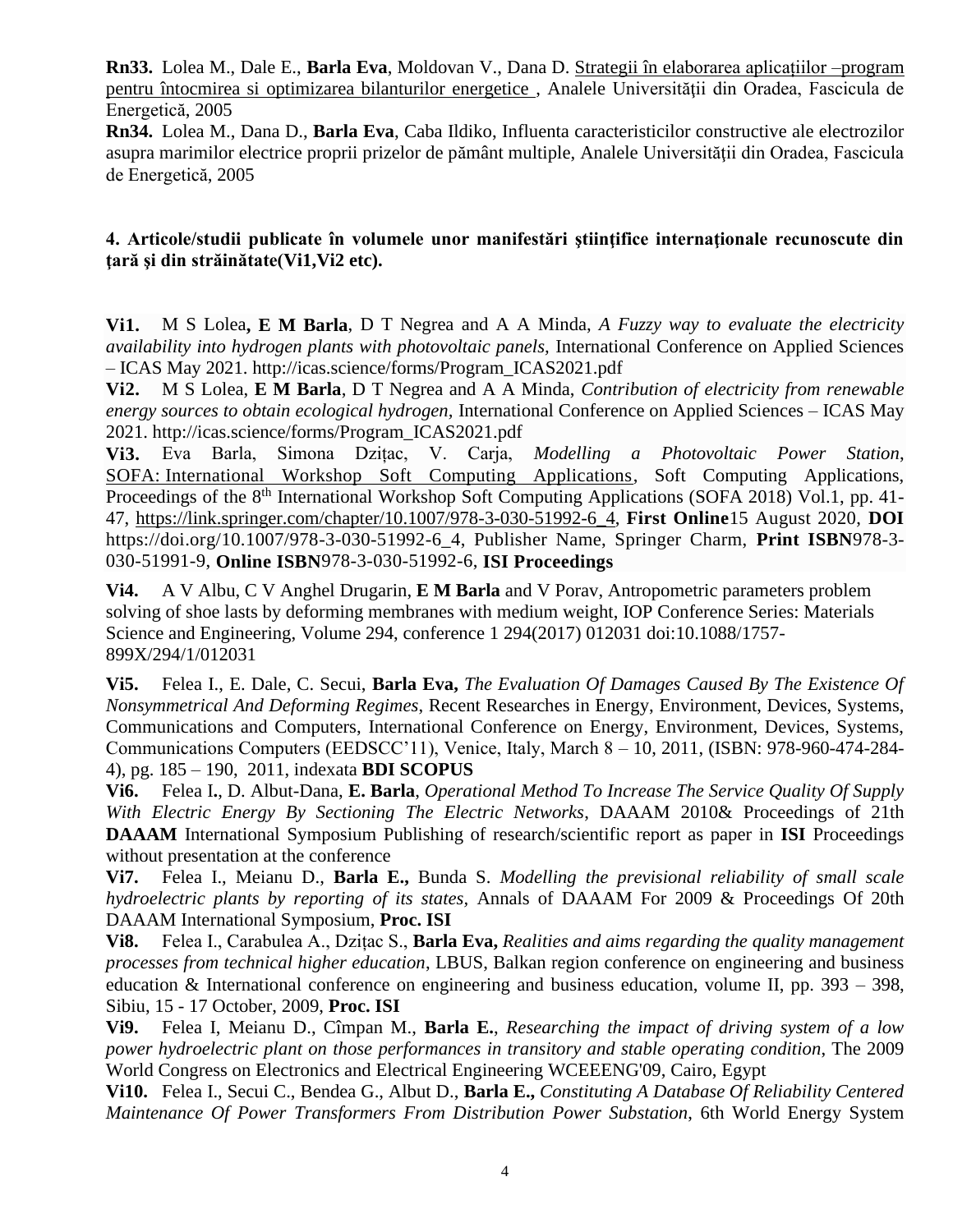**Rn33.** Lolea M., Dale E., **Barla Eva**, Moldovan V., Dana D. [Strategii în elaborarea aplicațiilor –program](http://www.energy-cie.ro/archives/2005/p191.pdf)  pentru întocmirea si optimizarea bilanturilor energetice, Analele Universității din Oradea, Fascicula de Energetică, 2005

**Rn34.** Lolea M., Dana D., **Barla Eva**, Caba Ildiko, Influenta caracteristicilor constructive ale electrozilor asupra marimilor electrice proprii prizelor de pământ multiple, Analele Universităţii din Oradea, Fascicula de Energetică, 2005

# **4. Articole/studii publicate în volumele unor manifestări ştiinţifice internaţionale recunoscute din ţară şi din străinătate(Vi1,Vi2 etc).**

**Vi1.** M S Lolea**, E M Barla**, D T Negrea and A A Minda, *A Fuzzy way to evaluate the electricity availability into hydrogen plants with photovoltaic panels,* International Conference on Applied Sciences – ICAS May 2021. http://icas.science/forms/Program\_ICAS2021.pdf

**Vi2.** M S Lolea, **E M Barla**, D T Negrea and A A Minda, *Contribution of electricity from renewable energy sources to obtain ecological hydrogen,* International Conference on Applied Sciences – ICAS May 2021. http://icas.science/forms/Program\_ICAS2021.pdf

**Vi3.** Eva Barla, Simona Dzițac, V. Carja, *Modelling a Photovoltaic Power Station*, SOFA: [International Workshop Soft Computing Applications,](https://link.springer.com/conference/sofa) Soft Computing Applications, Proceedings of the 8<sup>th</sup> International Workshop Soft Computing Applications (SOFA 2018) Vol.1, pp. 41-47, [https://link.springer.com/chapter/10.1007/978-3-030-51992-6\\_4,](https://link.springer.com/chapter/10.1007/978-3-030-51992-6_4) **First Online**15 August 2020, **DOI**  https://doi.org/10.1007/978-3-030-51992-6\_4, Publisher Name, Springer Charm, **Print ISBN**978-3- 030-51991-9, **Online ISBN**978-3-030-51992-6, **ISI Proceedings**

**Vi4.** A V Albu, C V Anghel Drugarin, **E M Barla** and V Porav, Antropometric parameters problem solving of shoe lasts by deforming membranes with medium weight, IOP Conference Series: Materials Science and Engineering, Volume 294, conference 1 294(2017) 012031 doi:10.1088/1757- 899X/294/1/012031

**Vi5.** Felea I., E. Dale, C. Secui, **Barla Eva,** *The Evaluation Of Damages Caused By The Existence Of Nonsymmetrical And Deforming Regimes*, Recent Researches in Energy, Environment, Devices, Systems, Communications and Computers, International Conference on Energy, Environment, Devices, Systems, Communications Computers (EEDSCC'11), Venice, Italy, March 8 – 10, 2011, (ISBN: 978-960-474-284- 4), pg. 185 – 190, 2011, indexata **BDI SCOPUS**

**Vi6.** Felea I**.**, D. Albut-Dana, **E. Barla**, *Operational Method To Increase The Service Quality Of Supply With Electric Energy By Sectioning The Electric Networks*, DAAAM 2010& Proceedings of 21th **DAAAM** International Symposium Publishing of research/scientific report as paper in **ISI** Proceedings without presentation at the conference

**Vi7.** Felea I., Meianu D., **Barla E.,** Bunda S. *Modelling the previsional reliability of small scale hydroelectric plants by reporting of its states,* Annals of DAAAM For 2009 & Proceedings Of 20th DAAAM International Symposium, **Proc. ISI**

**Vi8.** Felea I., Carabulea A., Dzițac S., **Barla Eva,** *Realities and aims regarding the quality management processes from technical higher education*, LBUS, Balkan region conference on engineering and business education & International conference on engineering and business education, volume II, pp. 393 – 398, Sibiu, 15 - 17 October, 2009, **Proc. ISI**

**Vi9.** Felea I, Meianu D., Cîmpan M., **Barla E.**, *Researching the impact of driving system of a low power hydroelectric plant on those performances in transitory and stable operating condition*, The 2009 World Congress on Electronics and Electrical Engineering WCEEENG'09, Cairo, Egypt

**Vi10.** Felea I., Secui C., Bendea G., Albut D., **Barla E.,** *Constituting A Database Of Reliability Centered Maintenance Of Power Transformers From Distribution Power Substation*, 6th World Energy System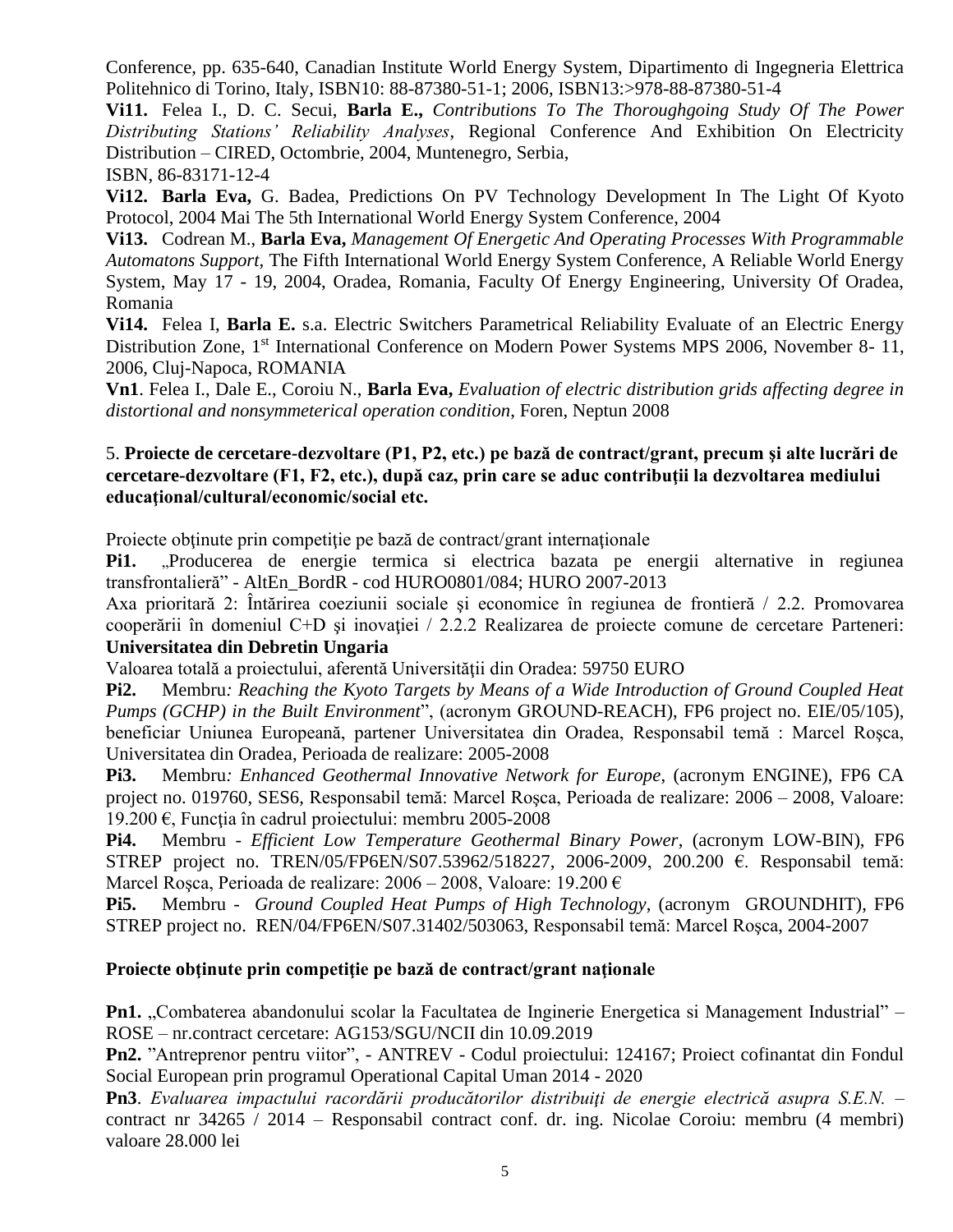Conference, pp. 635-640, Canadian Institute World Energy System, Dipartimento di Ingegneria Elettrica Politehnico di Torino, Italy, ISBN10: 88-87380-51-1; 2006, ISBN13:>978-88-87380-51-4

**Vi11.** Felea I., D. C. Secui, **Barla E.,** *Contributions To The Thoroughgoing Study Of The Power Distributing Stations' Reliability Analyses*, Regional Conference And Exhibition On Electricity Distribution – CIRED, Octombrie, 2004, Muntenegro, Serbia,

ISBN, 86-83171-12-4

**Vi12. Barla Eva,** G. Badea, Predictions On PV Technology Development In The Light Of Kyoto Protocol, 2004 Mai The 5th International World Energy System Conference, 2004

**Vi13.** Codrean M., **Barla Eva,** *Management Of Energetic And Operating Processes With Programmable Automatons Support,* The Fifth International World Energy System Conference, A Reliable World Energy System, May 17 - 19, 2004, Oradea, Romania, Faculty Of Energy Engineering, University Of Oradea, Romania

**Vi14.** Felea I, **Barla E.** s.a. Electric Switchers Parametrical Reliability Evaluate of an Electric Energy Distribution Zone, 1st International Conference on Modern Power Systems MPS 2006, November 8- 11, 2006, Cluj-Napoca, ROMANIA

**Vn1**. Felea I., Dale E., Coroiu N., **Barla Eva,** *Evaluation of electric distribution grids affecting degree in distortional and nonsymmeterical operation condition*, Foren, Neptun 2008

# 5. **Proiecte de cercetare-dezvoltare (P1, P2, etc.) pe bază de contract/grant, precum şi alte lucrări de cercetare-dezvoltare (F1, F2, etc.), după caz, prin care se aduc contribuţii la dezvoltarea mediului educaţional/cultural/economic/social etc.**

Proiecte obținute prin competiție pe bază de contract/grant internaționale

Pi1. "Producerea de energie termica si electrica bazata pe energii alternative in regiunea transfrontalieră" - AltEn\_BordR - cod HURO0801/084; HURO 2007-2013

Axa prioritară 2: Întărirea coeziunii sociale şi economice în regiunea de frontieră / 2.2. Promovarea cooperării în domeniul C+D și inovației / 2.2.2 Realizarea de proiecte comune de cercetare Parteneri: **Universitatea din Debretin Ungaria**

Valoarea totală a proiectului, aferentă Universităţii din Oradea: 59750 EURO

**Pi2.** Membru*: Reaching the Kyoto Targets by Means of a Wide Introduction of Ground Coupled Heat Pumps (GCHP) in the Built Environment*", (acronym GROUND-REACH), FP6 project no. EIE/05/105), beneficiar Uniunea Europeană, partener Universitatea din Oradea, Responsabil temă : Marcel Roşca, Universitatea din Oradea, Perioada de realizare: 2005-2008

**Pi3.** Membru*: Enhanced Geothermal Innovative Network for Europe*, (acronym ENGINE), FP6 CA project no. 019760, SES6, Responsabil temă: Marcel Roşca, Perioada de realizare: 2006 – 2008, Valoare: 19.200 €, Funcția în cadrul proiectului: membru 2005-2008

**Pi4.** Membru - *Efficient Low Temperature Geothermal Binary Power*, (acronym LOW-BIN), FP6 STREP project no. TREN/05/FP6EN/S07.53962/518227, 2006-2009, 200.200 €. Responsabil temă: Marcel Roşca, Perioada de realizare: 2006 – 2008, Valoare: 19.200 €

**Pi5.** Membru - *Ground Coupled Heat Pumps of High Technology*, (acronym GROUNDHIT), FP6 STREP project no. REN/04/FP6EN/S07.31402/503063, Responsabil temă: Marcel Roşca, 2004-2007

# **Proiecte obţinute prin competiţie pe bază de contract/grant naţionale**

**Pn1.** "Combaterea abandonului scolar la Facultatea de Inginerie Energetica si Management Industrial" – ROSE – nr.contract cercetare: AG153/SGU/NCII din 10.09.2019

**Pn2.** "Antreprenor pentru viitor", - ANTREV - Codul proiectului: 124167; Proiect cofinantat din Fondul Social European prin programul Operational Capital Uman 2014 - 2020

**Pn3**. *Evaluarea impactului racordării producătorilor distribuiţi de energie electrică asupra S.E.N.* – contract nr 34265 / 2014 – Responsabil contract conf. dr. ing. Nicolae Coroiu: membru (4 membri) valoare 28.000 lei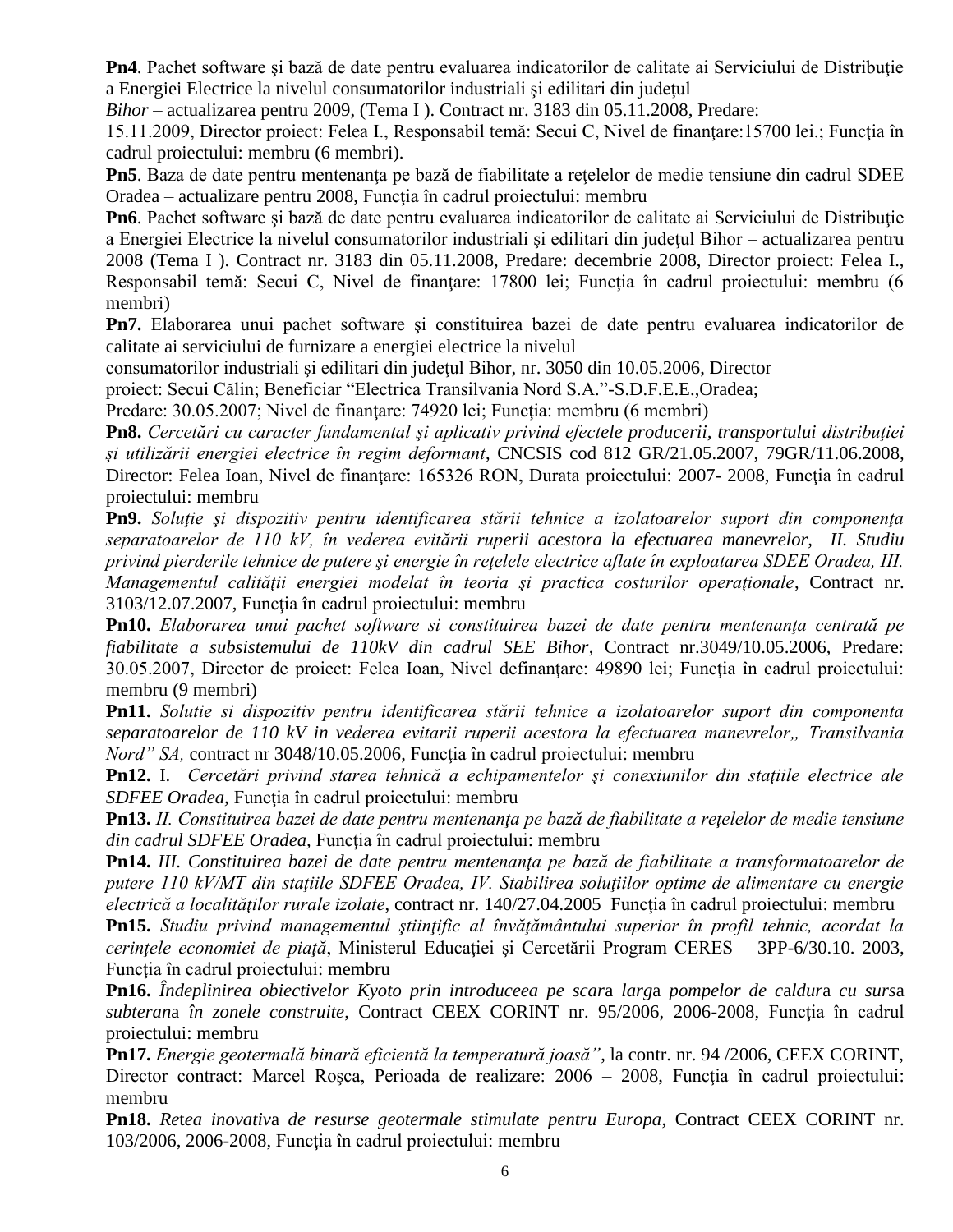**Pn4**. Pachet software şi bază de date pentru evaluarea indicatorilor de calitate ai Serviciului de Distribuţie a Energiei Electrice la nivelul consumatorilor industriali si edilitari din judetul

*Bihor* – actualizarea pentru 2009, (Tema I ). Contract nr. 3183 din 05.11.2008, Predare:

15.11.2009, Director proiect: Felea I., Responsabil temă: Secui C, Nivel de finanţare:15700 lei.; Funcţia în cadrul proiectului: membru (6 membri).

**Pn5**. Baza de date pentru mentenanţa pe bază de fiabilitate a reţelelor de medie tensiune din cadrul SDEE Oradea – actualizare pentru 2008, Funcţia în cadrul proiectului: membru

**Pn6**. Pachet software și bază de date pentru evaluarea indicatorilor de calitate ai Serviciului de Distributie a Energiei Electrice la nivelul consumatorilor industriali şi edilitari din judeţul Bihor – actualizarea pentru 2008 (Tema I ). Contract nr. 3183 din 05.11.2008, Predare: decembrie 2008, Director proiect: Felea I., Responsabil temă: Secui C, Nivel de finanțare: 17800 lei; Funcția în cadrul proiectului: membru (6 membri)

**Pn7.** Elaborarea unui pachet software şi constituirea bazei de date pentru evaluarea indicatorilor de calitate ai serviciului de furnizare a energiei electrice la nivelul

consumatorilor industriali şi edilitari din judeţul Bihor, nr. 3050 din 10.05.2006, Director

proiect: Secui Călin; Beneficiar "Electrica Transilvania Nord S.A."-S.D.F.E.E.,Oradea;

Predare: 30.05.2007; Nivel de finanțare: 74920 lei; Funcția: membru (6 membri)

**Pn8.** *Cercetări cu caracter fundamental şi aplicativ privind efectele producerii, transportului distribuţiei şi utilizării energiei electrice în regim deformant*, CNCSIS cod 812 GR/21.05.2007, 79GR/11.06.2008*,*  Director: Felea Ioan, Nivel de finanţare: 165326 RON, Durata proiectului: 2007- 2008, Funcţia în cadrul proiectului: membru

**Pn9.** *Soluţie şi dispozitiv pentru identificarea stării tehnice a izolatoarelor suport din componenţa separatoarelor de 110 kV, în vederea evitării ruperii acestora la efectuarea manevrelor, II. Studiu privind pierderile tehnice de putere şi energie în reţelele electrice aflate în exploatarea SDEE Oradea, III. Managementul calităţii energiei modelat în teoria şi practica costurilor operaţionale*, Contract nr. 3103/12.07.2007, Funcţia în cadrul proiectului: membru

**Pn10.** *Elaborarea unui pachet software si constituirea bazei de date pentru mentenanta centrată pe fiabilitate a subsistemului de 110kV din cadrul SEE Bihor*, Contract nr.3049/10.05.2006, Predare: 30.05.2007, Director de proiect: Felea Ioan, Nivel definanţare: 49890 lei; Funcţia în cadrul proiectului: membru (9 membri)

**Pn11.** *Solutie si dispozitiv pentru identificarea stării tehnice a izolatoarelor suport din componenta*  separatoarelor de 110 kV in vederea evitarii ruperii acestora la efectuarea manevrelor,, Transilvania *Nord" SA, contract nr* 3048/10.05.2006, Functia în cadrul projectului: membru

**Pn12.** I. *Cercetări privind starea tehnică a echipamentelor şi conexiunilor din staţiile electrice ale SDFEE Oradea,* Funcţia în cadrul proiectului: membru

**Pn13.** *II. Constituirea bazei de date pentru mentenanța pe bază de fiabilitate a rețelelor de medie tensiune din cadrul SDFEE Oradea,* Funcţia în cadrul proiectului: membru

**Pn14.** *III. Constituirea bazei de date pentru mentenanţa pe bază de fiabilitate a transformatoarelor de putere 110 kV/MT din staţiile SDFEE Oradea, IV. Stabilirea soluţiilor optime de alimentare cu energie electrică a localităţilor rurale izolate*, contract nr. 140/27.04.2005 Funcţia în cadrul proiectului: membru

**Pn15.** *Studiu privind managementul ştiinţific al învăţământului superior în profil tehnic, acordat la cerinţele economiei de piaţă*, Ministerul Educaţiei şi Cercetării Program CERES – 3PP-6/30.10. 2003, Functia în cadrul proiectului: membru

**Pn16.** *Îndeplinirea obiectivelor Kyoto prin introduceea pe scar*a *larg*a *pompelor de c*a*ldur*a *cu surs*a *subteran*a *în zonele construite*, Contract CEEX CORINT nr. 95/2006, 2006-2008, Funcţia în cadrul proiectului: membru

**Pn17.** *Energie geotermală binară eficientă la temperatură joasă"*, la contr. nr. 94 /2006, CEEX CORINT, Director contract: Marcel Roșca, Perioada de realizare: 2006 – 2008, Funcția în cadrul proiectului: membru

**Pn18.** *Re*t*ea inovativ*a *de resurse geotermale stimulate pentru Europa*, Contract CEEX CORINT nr. 103/2006, 2006-2008, Funcţia în cadrul proiectului: membru